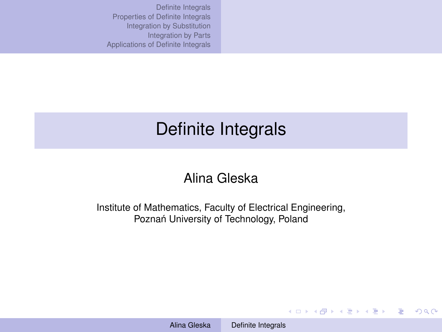# <span id="page-0-0"></span>Definite Integrals

## Alina Gleska

Institute of Mathematics, Faculty of Electrical Engineering, Poznań University of Technology, Poland

KO KARK KEK KEK E YOKA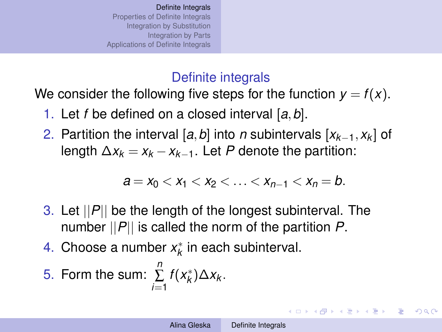## Definite integrals

<span id="page-1-0"></span>We consider the following five steps for the function  $y = f(x)$ .

- 1. Let *f* be defined on a closed interval [*a*,*b*].
- 2. Partition the interval [*a*,*b*] into *n* subintervals [*xk*−1,*x<sup>k</sup>* ] of length  $\Delta x_k = x_k - x_{k-1}$ . Let P denote the partition:

$$
a = x_0 < x_1 < x_2 < \ldots < x_{n-1} < x_n = b.
$$

- 3. Let ||*P*|| be the length of the longest subinterval. The number ||*P*|| is called the norm of the partition *P*.
- 4. Choose a number  $x_k^*$  in each subinterval.

5. Form the sum: 
$$
\sum_{i=1}^{n} f(x_k^*) \Delta x_k.
$$

KOD KAP KED KED E LORO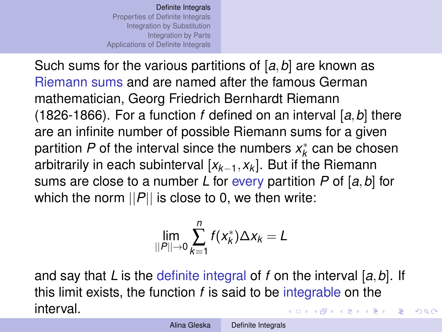Such sums for the various partitions of [*a*,*b*] are known as Riemann sums and are named after the famous German mathematician, Georg Friedrich Bernhardt Riemann (1826-1866). For a function *f* defined on an interval [*a*,*b*] there are an infinite number of possible Riemann sums for a given partition  $P$  of the interval since the numbers  $x_k^*$  can be chosen arbitrarily in each subinterval [*xk*−1,*x<sup>k</sup>* ]. But if the Riemann sums are close to a number *L* for every partition *P* of [*a*,*b*] for which the norm  $||P||$  is close to 0, we then write:

$$
\lim_{||P||\to 0}\sum_{k=1}^n f(x_k^*)\Delta x_k = L
$$

and say that *L* is the definite integral of *f* on the interval [*a*,*b*]. If this limit exists, the function *f* is said to be integrable on the interval. イロト イ伊 トイヨ トイヨ トー  $\Rightarrow$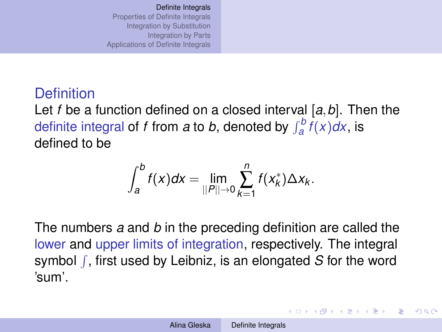## **Definition** Let *f* be a function defined on a closed interval [*a*,*b*]. Then the definite integral of *f* from *a* to *b*, denoted by  $\int_{a}^{b} f(x) dx$ , is defined to be

$$
\int_{a}^{b} f(x) dx = \lim_{\|P\| \to 0} \sum_{k=1}^{n} f(x_{k}^{*}) \Delta x_{k}.
$$

The numbers *a* and *b* in the preceding definition are called the lower and upper limits of integration, respectively. The integral symbol f, first used by Leibniz, is an elongated S for the word 'sum'.

イロト イ伊 トイヨ トイヨ トー

 $\equiv$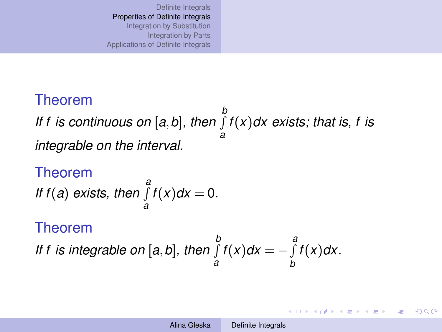## <span id="page-4-0"></span>Theorem

*If f is continuous on* [*a*,*b*]*, then* R *b a f*(*x*)*dx exists; that is, f is integrable on the interval.*

Theorem *a*<br>*If f*(*a*) *exists, then*  $\int$ *a*  $f(x)dx=0.$ Theorem

*If f is integrable on* [*a*,*b*]*, then* R *b a f*(*x*)*dx* = −  $\int$ <sup>*a*</sup> *b f*(*x*)*dx*.

イロト イ団 トイヨ トイヨ トー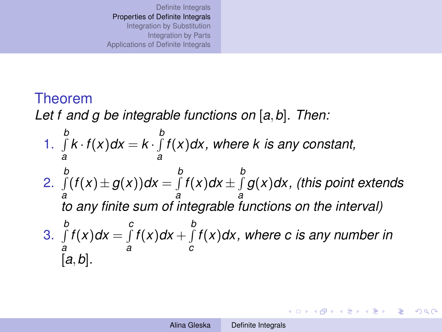## Theorem

*Let f and g be integrable functions on* [*a*,*b*]*. Then:*

1. R *b a*  $k \cdot f(x) dx = k \cdot \int_{0}^{b}$ *a f*(*x*)*dx, where k is any constant,* 2. R *b a*  $(f(x) \pm g(x))dx = \int\limits_{0}^{b}$ *a f*(*x*)*dx*  $\pm$  *f a g*(*x*)*dx, (this point extends to any finite sum of integrable functions on the interval)* 3. R *b a f*(*x*)*dx* =  $\int$ <sup>*c*</sup> *a f*(*x*)*dx* +  $\int$ *c f*(*x*)*dx, where c is any number in* [*a*,*b*]*.*

**K ロ ▶ K 御 ▶ K 君 ▶ K 君 ▶**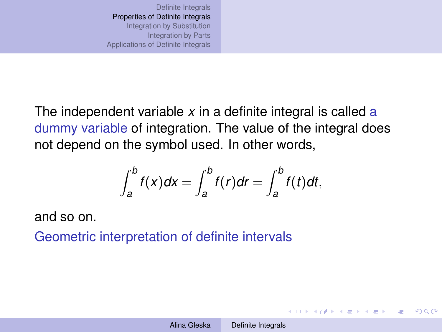The independent variable *x* in a definite integral is called a dummy variable of integration. The value of the integral does not depend on the symbol used. In other words,

$$
\int_{a}^{b} f(x)dx = \int_{a}^{b} f(r)dr = \int_{a}^{b} f(t)dt,
$$

and so on.

Geometric interpretation of definite intervals

イロト イ押 トイヨ トイヨ トーヨー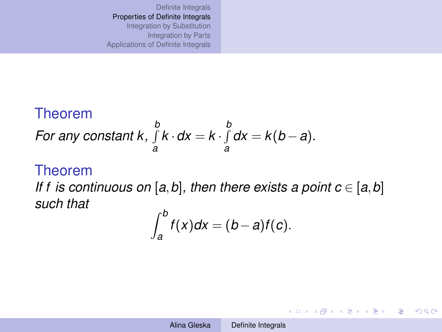#### Theorem *For any constant k,* R *b a k* ·*dx* = *k* · R *b a*  $dx = k(b - a)$ .

ï

#### Theorem

*If f is continuous on* [ $a$ , $b$ ], then there exists a point  $c \in [a, b]$ *such that*

$$
\int_a^b f(x)dx = (b-a)f(c).
$$

**K ロ ▶ K 伊 ▶ K ヨ ▶ K ヨ ▶** 

B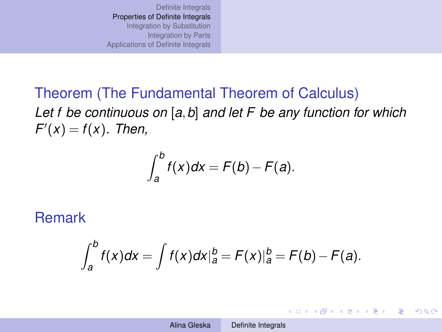Theorem (The Fundamental Theorem of Calculus) *Let f be continuous on* [*a*,*b*] *and let F be any function for which*  $F'(x) = f(x)$ *. Then,* 

$$
\int_a^b f(x)dx = F(b) - F(a).
$$

### Remark

$$
\int_{a}^{b} f(x)dx = \int f(x)dx\big|_{a}^{b} = F(x)\big|_{a}^{b} = F(b) - F(a).
$$

イロト イ押 トイヨ トイヨ トーヨー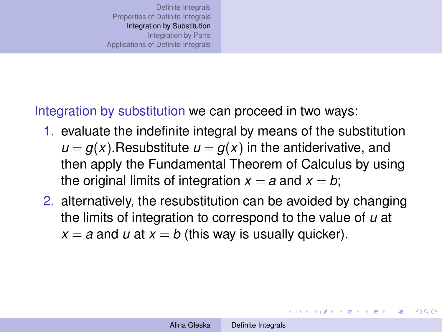<span id="page-9-0"></span>Integration by substitution we can proceed in two ways:

- 1. evaluate the indefinite integral by means of the substitution  $u = g(x)$ . Resubstitute  $u = g(x)$  in the antiderivative, and then apply the Fundamental Theorem of Calculus by using the original limits of integration  $x = a$  and  $x = b$ ;
- 2. alternatively, the resubstitution can be avoided by changing the limits of integration to correspond to the value of *u* at  $x = a$  and *u* at  $x = b$  (this way is usually quicker).

イロン イ押ン イヨン イヨン 一重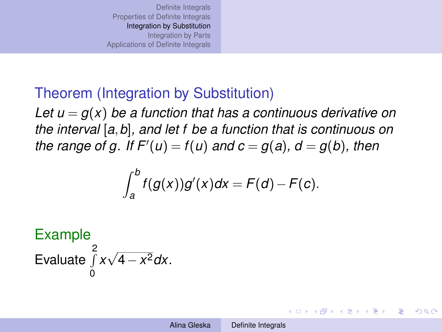## Theorem (Integration by Substitution)

Let  $u = g(x)$  be a function that has a continuous derivative on *the interval* [*a*,*b*]*, and let f be a function that is continuous on*  $the$  range of g. If  $F'(u) = f(u)$  and  $c = g(a)$ ,  $d = g(b)$ , then

$$
\int_a^b f(g(x))g'(x)dx = F(d) - F(c).
$$

Example <sup>2</sup><br>∫ Evaluate 0 *x* √ 4−*x* <sup>2</sup>*dx*.

イロト イ押 トイヨ トイヨ トー

E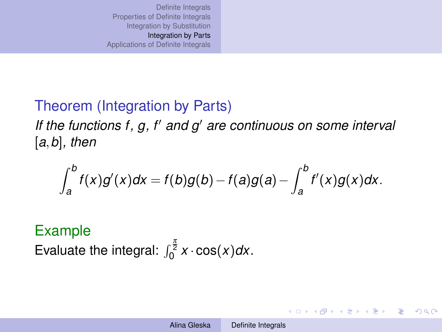## <span id="page-11-0"></span>Theorem (Integration by Parts)

If the functions f, g, f' and g' are continuous on some interval [*a*,*b*]*, then*

$$
\int_a^b f(x)g'(x)dx = f(b)g(b) - f(a)g(a) - \int_a^b f'(x)g(x)dx.
$$

## Example

Evaluate the integral:  $\int_0^{\frac{\pi}{2}} x \cdot \cos(x) dx$ .

4 ロ > 4 何 > 4 ミ > 4 ミ > - ミ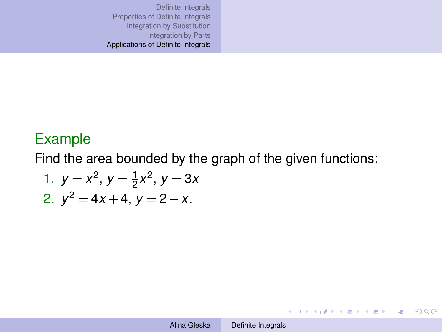### <span id="page-12-0"></span>Example

Find the area bounded by the graph of the given functions:

1. 
$$
y = x^2
$$
,  $y = \frac{1}{2}x^2$ ,  $y = 3x$   
2.  $y^2 = 4x + 4$ ,  $y = 2 - x$ .

KO KARA KE KAEK E KORO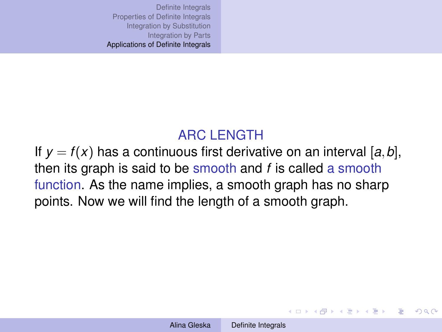## ARC LENGTH

If  $y = f(x)$  has a continuous first derivative on an interval [a, b], then its graph is said to be smooth and *f* is called a smooth function. As the name implies, a smooth graph has no sharp points. Now we will find the length of a smooth graph.

イロト 不優 トイ君 トイ君 トー君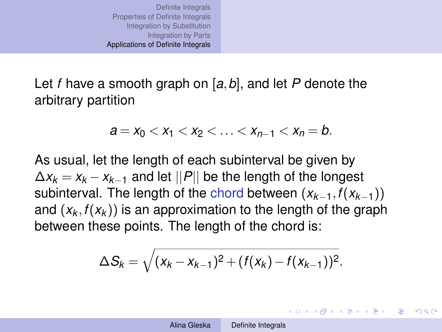Let *f* have a smooth graph on [*a*,*b*], and let *P* denote the arbitrary partition

$$
a = x_0 < x_1 < x_2 < \ldots < x_{n-1} < x_n = b.
$$

As usual, let the length of each subinterval be given by  $\Delta x_k = x_k - x_{k-1}$  and let  $||P||$  be the length of the longest subinterval. The length of the chord between (*xk*−1,*f*(*xk*−1)) and  $(x_k, f(x_k))$  is an approximation to the length of the graph between these points. The length of the chord is:

$$
\Delta S_k = \sqrt{(x_k - x_{k-1})^2 + (f(x_k) - f(x_{k-1}))^2}.
$$

KOD KAP KED KED E LORO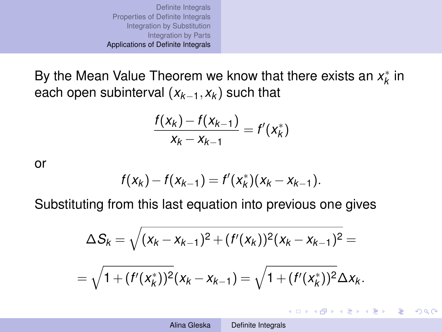By the Mean Value Theorem we know that there exists an  $x_k^*$  in each open subinterval (*xk*−1,*x<sup>k</sup>* ) such that

$$
\frac{f(x_k) - f(x_{k-1})}{x_k - x_{k-1}} = f'(x_k^*)
$$

or

$$
f(x_k) - f(x_{k-1}) = f'(x_k^*)(x_k - x_{k-1}).
$$

Substituting from this last equation into previous one gives

$$
\Delta S_k = \sqrt{(x_k - x_{k-1})^2 + (f'(x_k))^2 (x_k - x_{k-1})^2} =
$$
  
=  $\sqrt{1 + (f'(x_k^*))^2 (x_k - x_{k-1})} = \sqrt{1 + (f'(x_k^*))^2} \Delta x_k.$ 

KO KARK KEK KEK E YOKA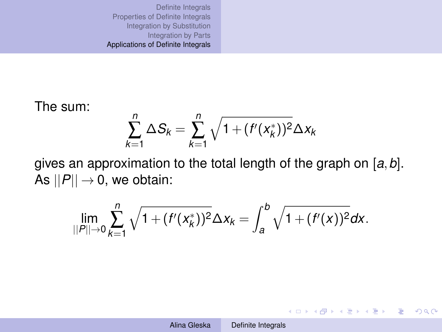The sum:

$$
\sum_{k=1}^{n} \Delta S_k = \sum_{k=1}^{n} \sqrt{1 + (f'(x_k^*))^2} \Delta x_k
$$

gives an approximation to the total length of the graph on [*a*,*b*]. As  $||P|| \rightarrow 0$ , we obtain:

$$
\lim_{||P||\to 0}\sum_{k=1}^n\sqrt{1+(f'(x_k^*))^2}\Delta x_k=\int_a^b\sqrt{1+(f'(x))^2}dx.
$$

KO KARK KEK KEK E YOKA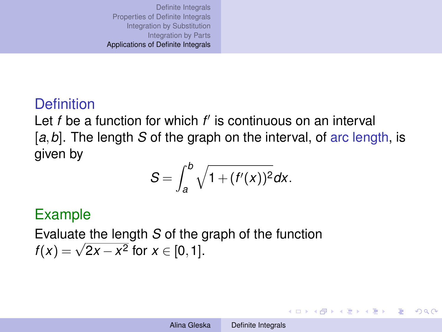## **Definition**

Let *f* be a function for which *f'* is continuous on an interval [a, b]. The length *S* of the graph on the interval, of arc length, is given by

$$
S=\int_a^b\sqrt{1+(f'(x))^2}dx.
$$

## Example

Evaluate the length *S* of the graph of the function *f*(*x*) =  $\sqrt{2x - x^2}$  for  $x \in [0, 1]$ .

イロン イ押ン イヨン イヨン 一重

 $QQ$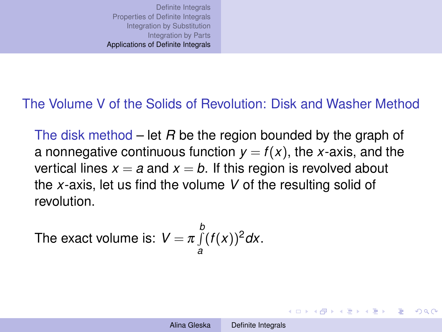#### The Volume V of the Solids of Revolution: Disk and Washer Method

The disk method – let *R* be the region bounded by the graph of a nonnegative continuous function  $y = f(x)$ , the *x*-axis, and the vertical lines  $x = a$  and  $x = b$ . If this region is revolved about the *x*-axis, let us find the volume *V* of the resulting solid of revolution.

The exact volume is: 
$$
V = \pi \int_{a}^{b} (f(x))^2 dx
$$
.

KOD KAP KED KED E YA G